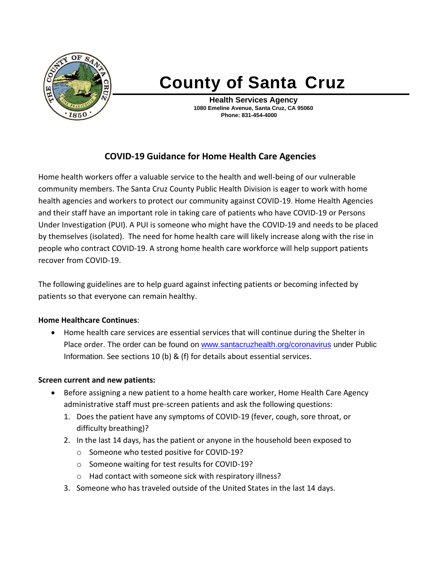

# **County of Santa Cruz**

**Health Services Agency 1080 Emeline Avenue, Santa Cruz, CA 95060 Phone: 831-454-4000**

# **COVID-19 Guidance for Home Health Care Agencies**

Home health workers offer a valuable service to the health and well-being of our vulnerable community members. The Santa Cruz County Public Health Division is eager to work with home health agencies and workers to protect our community against COVID-19. Home Health Agencies and their staff have an important role in taking care of patients who have COVID-19 or Persons Under Investigation (PUI). A PUI is someone who might have the COVID-19 and needs to be placed by themselves (isolated). The need for home health care will likely increase along with the rise in people who contract COVID-19. A strong home health care workforce will help support patients recover from COVID-19.

The following guidelines are to help guard against infecting patients or becoming infected by patients so that everyone can remain healthy.

### **Home Healthcare Continues**:

• Home health care services are essential services that will continue during the Shelter in Place order. The order can be found on [www.santacruzhealth.org/coronavirus](http://www.santacruzhealth.org/coronavirus) under Public Information. See sections 10 (b) & (f) for details about essential services.

#### **Screen current and new patients:**

- Before assigning a new patient to a home health care worker, Home Health Care Agency administrative staff must pre-screen patients and ask the following questions:
	- 1. Does the patient have any symptoms of COVID-19 (fever, cough, sore throat, or difficulty breathing)?
	- 2. In the last 14 days, has the patient or anyone in the household been exposed to
		- o Someone who tested positive for COVID-19?
		- o Someone waiting for test results for COVID-19?
		- o Had contact with someone sick with respiratory illness?
	- 3. Someone who has traveled outside of the United States in the last 14 days.